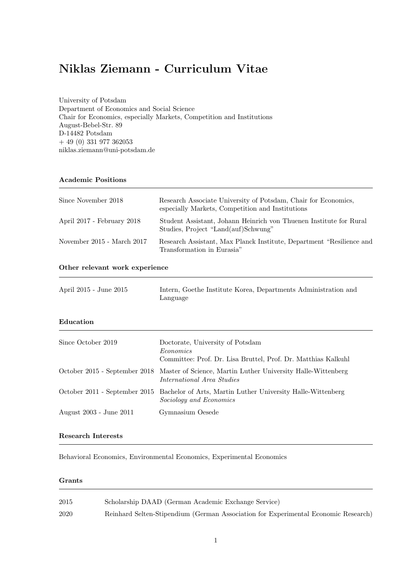# Niklas Ziemann - Curriculum Vitae

University of Potsdam Department of Economics and Social Science Chair for Economics, especially Markets, Competition and Institutions August-Bebel-Str. 89 D-14482 Potsdam + 49 (0) 331 977 362053 niklas.ziemann@uni-potsdam.de

## Academic Positions

| Since November 2018            | Research Associate University of Potsdam, Chair for Economics,<br>especially Markets, Competition and Institutions |
|--------------------------------|--------------------------------------------------------------------------------------------------------------------|
| April 2017 - February 2018     | Student Assistant, Johann Heinrich von Thuenen Institute for Rural<br>Studies, Project "Land(auf)Schwung"          |
| November $2015$ - March $2017$ | Research Assistant, Max Planck Institute, Department "Resilience and<br>Transformation in Eurasia"                 |

### Other relevant work experience

| April 2015 - June 2015        | Intern, Goethe Institute Korea, Departments Administration and<br>Language                                     |  |
|-------------------------------|----------------------------------------------------------------------------------------------------------------|--|
| Education                     |                                                                                                                |  |
| Since October 2019            | Doctorate, University of Potsdam<br>Economics<br>Committee: Prof. Dr. Lisa Bruttel, Prof. Dr. Matthias Kalkuhl |  |
| October 2015 - September 2018 | Master of Science, Martin Luther University Halle-Wittenberg<br><i>International Area Studies</i>              |  |
| October 2011 - September 2015 | Bachelor of Arts, Martin Luther University Halle-Wittenberg<br>Sociology and Economics                         |  |
| August 2003 - June 2011       | Gymnasium Oesede                                                                                               |  |

# Research Interests

Behavioral Economics, Environmental Economics, Experimental Economics

#### Grants

| 2015 | Scholarship DAAD (German Academic Exchange Service)                                |
|------|------------------------------------------------------------------------------------|
| 2020 | Reinhard Selten-Stipendium (German Association for Experimental Economic Research) |